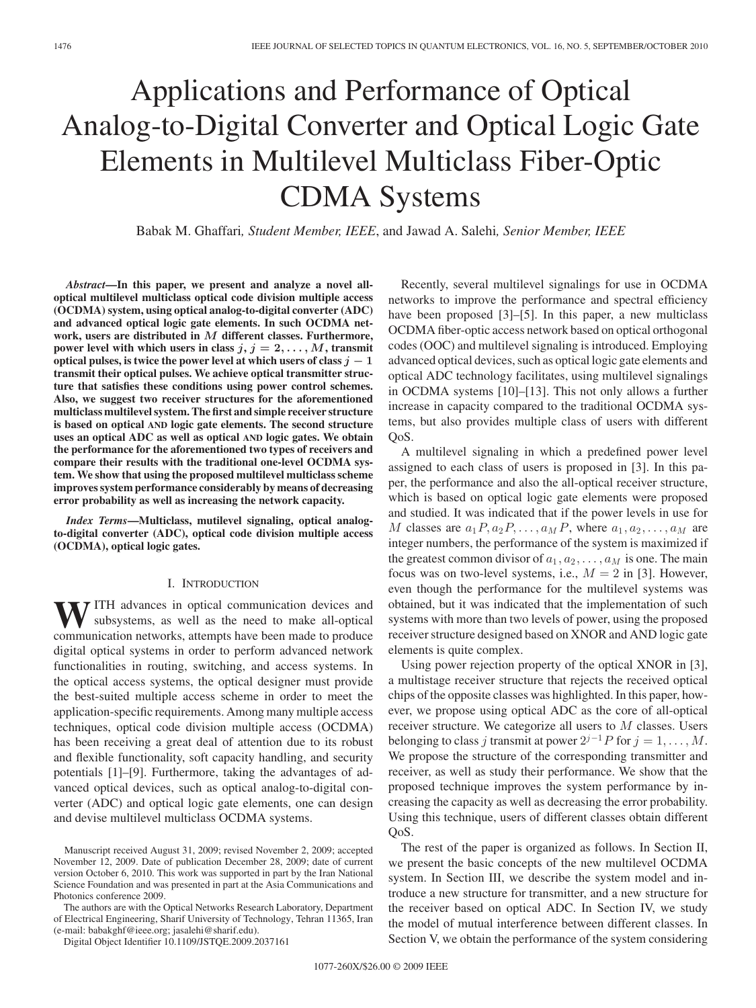# Applications and Performance of Optical Analog-to-Digital Converter and Optical Logic Gate Elements in Multilevel Multiclass Fiber-Optic CDMA Systems

Babak M. Ghaffari*, Student Member, IEEE*, and Jawad A. Salehi*, Senior Member, IEEE*

*Abstract***—In this paper, we present and analyze a novel alloptical multilevel multiclass optical code division multiple access (OCDMA) system, using optical analog-to-digital converter (ADC) and advanced optical logic gate elements. In such OCDMA network, users are distributed in** *M* **different classes. Furthermore, power level with which users in class**  $j, j = 2, \ldots, M$ , transmit **optical pulses, is twice the power level at which users of class** *j −* **1 transmit their optical pulses. We achieve optical transmitter structure that satisfies these conditions using power control schemes. Also, we suggest two receiver structures for the aforementioned multiclass multilevel system. The first and simple receiver structure is based on optical AND logic gate elements. The second structure uses an optical ADC as well as optical AND logic gates. We obtain the performance for the aforementioned two types of receivers and compare their results with the traditional one-level OCDMA system. We show that using the proposed multilevel multiclass scheme improves system performance considerably by means of decreasing error probability as well as increasing the network capacity.**

*Index Terms***—Multiclass, mutilevel signaling, optical analogto-digital converter (ADC), optical code division multiple access (OCDMA), optical logic gates.**

#### I. INTRODUCTION

**W**ITH advances in optical communication devices and subsystems, as well as the need to make all-optical communication networks attempts have been made to produce communication networks, attempts have been made to produce digital optical systems in order to perform advanced network functionalities in routing, switching, and access systems. In the optical access systems, the optical designer must provide the best-suited multiple access scheme in order to meet the application-specific requirements. Among many multiple access techniques, optical code division multiple access (OCDMA) has been receiving a great deal of attention due to its robust and flexible functionality, soft capacity handling, and security potentials [1]–[9]. Furthermore, taking the advantages of advanced optical devices, such as optical analog-to-digital converter (ADC) and optical logic gate elements, one can design and devise multilevel multiclass OCDMA systems.

The authors are with the Optical Networks Research Laboratory, Department of Electrical Engineering, Sharif University of Technology, Tehran 11365, Iran (e-mail: babakghf@ieee.org; jasalehi@sharif.edu).

Digital Object Identifier 10.1109/JSTQE.2009.2037161

Recently, several multilevel signalings for use in OCDMA networks to improve the performance and spectral efficiency have been proposed [3]–[5]. In this paper, a new multiclass OCDMA fiber-optic access network based on optical orthogonal codes (OOC) and multilevel signaling is introduced. Employing advanced optical devices, such as optical logic gate elements and optical ADC technology facilitates, using multilevel signalings in OCDMA systems [10]–[13]. This not only allows a further increase in capacity compared to the traditional OCDMA systems, but also provides multiple class of users with different QoS.

A multilevel signaling in which a predefined power level assigned to each class of users is proposed in [3]. In this paper, the performance and also the all-optical receiver structure, which is based on optical logic gate elements were proposed and studied. It was indicated that if the power levels in use for M classes are  $a_1P, a_2P, \ldots, aMP$ , where  $a_1, a_2, \ldots, a_M$  are integer numbers, the performance of the system is maximized if the greatest common divisor of  $a_1, a_2, \ldots, a_M$  is one. The main focus was on two-level systems, i.e.,  $M = 2$  in [3]. However, even though the performance for the multilevel systems was obtained, but it was indicated that the implementation of such systems with more than two levels of power, using the proposed receiver structure designed based on XNOR and AND logic gate elements is quite complex.

Using power rejection property of the optical XNOR in [3], a multistage receiver structure that rejects the received optical chips of the opposite classes was highlighted. In this paper, however, we propose using optical ADC as the core of all-optical receiver structure. We categorize all users to M classes. Users belonging to class j transmit at power  $2^{j-1}P$  for  $j = 1, \ldots, M$ . We propose the structure of the corresponding transmitter and receiver, as well as study their performance. We show that the proposed technique improves the system performance by increasing the capacity as well as decreasing the error probability. Using this technique, users of different classes obtain different QoS.

The rest of the paper is organized as follows. In Section II, we present the basic concepts of the new multilevel OCDMA system. In Section III, we describe the system model and introduce a new structure for transmitter, and a new structure for the receiver based on optical ADC. In Section IV, we study the model of mutual interference between different classes. In Section V, we obtain the performance of the system considering

Manuscript received August 31, 2009; revised November 2, 2009; accepted November 12, 2009. Date of publication December 28, 2009; date of current version October 6, 2010. This work was supported in part by the Iran National Science Foundation and was presented in part at the Asia Communications and Photonics conference 2009.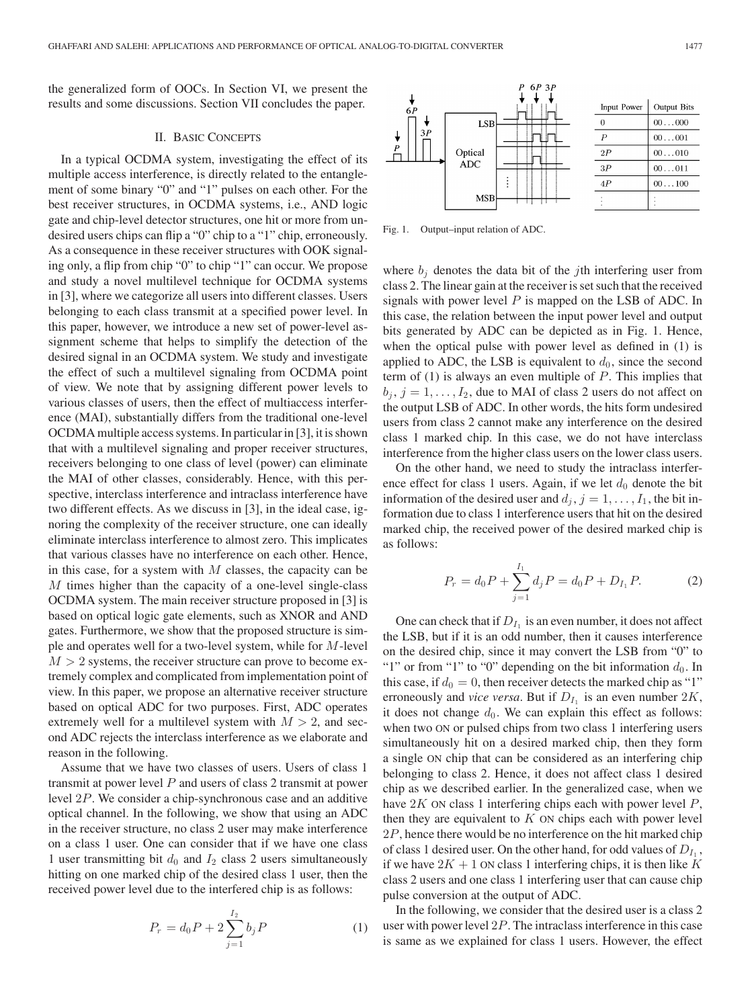the generalized form of OOCs. In Section VI, we present the results and some discussions. Section VII concludes the paper.

## II. BASIC CONCEPTS

In a typical OCDMA system, investigating the effect of its multiple access interference, is directly related to the entanglement of some binary "0" and "1" pulses on each other. For the best receiver structures, in OCDMA systems, i.e., AND logic gate and chip-level detector structures, one hit or more from undesired users chips can flip a "0" chip to a "1" chip, erroneously. As a consequence in these receiver structures with OOK signaling only, a flip from chip "0" to chip "1" can occur. We propose and study a novel multilevel technique for OCDMA systems in [3], where we categorize all users into different classes. Users belonging to each class transmit at a specified power level. In this paper, however, we introduce a new set of power-level assignment scheme that helps to simplify the detection of the desired signal in an OCDMA system. We study and investigate the effect of such a multilevel signaling from OCDMA point of view. We note that by assigning different power levels to various classes of users, then the effect of multiaccess interference (MAI), substantially differs from the traditional one-level OCDMA multiple access systems. In particular in [3], it is shown that with a multilevel signaling and proper receiver structures, receivers belonging to one class of level (power) can eliminate the MAI of other classes, considerably. Hence, with this perspective, interclass interference and intraclass interference have two different effects. As we discuss in [3], in the ideal case, ignoring the complexity of the receiver structure, one can ideally eliminate interclass interference to almost zero. This implicates that various classes have no interference on each other. Hence, in this case, for a system with  $M$  classes, the capacity can be M times higher than the capacity of a one-level single-class OCDMA system. The main receiver structure proposed in [3] is based on optical logic gate elements, such as XNOR and AND gates. Furthermore, we show that the proposed structure is simple and operates well for a two-level system, while for M-level  $M > 2$  systems, the receiver structure can prove to become extremely complex and complicated from implementation point of view. In this paper, we propose an alternative receiver structure based on optical ADC for two purposes. First, ADC operates extremely well for a multilevel system with  $M > 2$ , and second ADC rejects the interclass interference as we elaborate and reason in the following.

Assume that we have two classes of users. Users of class 1 transmit at power level  $P$  and users of class 2 transmit at power level 2P. We consider a chip-synchronous case and an additive optical channel. In the following, we show that using an ADC in the receiver structure, no class 2 user may make interference on a class 1 user. One can consider that if we have one class 1 user transmitting bit  $d_0$  and  $I_2$  class 2 users simultaneously hitting on one marked chip of the desired class 1 user, then the received power level due to the interfered chip is as follows:

$$
P_r = d_0 P + 2 \sum_{j=1}^{I_2} b_j P \tag{1}
$$

Input Power **Output Bits** LSB  $\boldsymbol{0}$  $00...000$ 31  $\boldsymbol{P}$  $00...001$ Optical  $2P$ .010  $00$  . **ADC**  $3P$  $00...011$  $4\mathcal{P}$  $00\dots100$ **MSE** 

Fig. 1. Output–input relation of ADC.

where  $b_j$  denotes the data bit of the *j*th interfering user from class 2. The linear gain at the receiver is set such that the received signals with power level  $P$  is mapped on the LSB of ADC. In this case, the relation between the input power level and output bits generated by ADC can be depicted as in Fig. 1. Hence, when the optical pulse with power level as defined in (1) is applied to ADC, the LSB is equivalent to  $d_0$ , since the second term of  $(1)$  is always an even multiple of  $P$ . This implies that  $b_i, j = 1, \ldots, I_2$ , due to MAI of class 2 users do not affect on the output LSB of ADC. In other words, the hits form undesired users from class 2 cannot make any interference on the desired class 1 marked chip. In this case, we do not have interclass interference from the higher class users on the lower class users.

On the other hand, we need to study the intraclass interference effect for class 1 users. Again, if we let  $d_0$  denote the bit information of the desired user and  $d_i$ ,  $j = 1, \ldots, I_1$ , the bit information due to class 1 interference users that hit on the desired marked chip, the received power of the desired marked chip is as follows:

$$
P_r = d_0 P + \sum_{j=1}^{I_1} d_j P = d_0 P + D_{I_1} P.
$$
 (2)

One can check that if  $D_{I_1}$  is an even number, it does not affect the LSB, but if it is an odd number, then it causes interference on the desired chip, since it may convert the LSB from "0" to "1" or from "1" to "0" depending on the bit information  $d_0$ . In this case, if  $d_0 = 0$ , then receiver detects the marked chip as "1" erroneously and *vice versa*. But if  $D_{I_1}$  is an even number  $2K$ , it does not change  $d_0$ . We can explain this effect as follows: when two ON or pulsed chips from two class 1 interfering users simultaneously hit on a desired marked chip, then they form a single ON chip that can be considered as an interfering chip belonging to class 2. Hence, it does not affect class 1 desired chip as we described earlier. In the generalized case, when we have  $2K$  ON class 1 interfering chips each with power level  $P$ , then they are equivalent to  $K$  ON chips each with power level 2P, hence there would be no interference on the hit marked chip of class 1 desired user. On the other hand, for odd values of  $D_{I_1}$ , if we have  $2K + 1$  ON class 1 interfering chips, it is then like K class 2 users and one class 1 interfering user that can cause chip pulse conversion at the output of ADC.

In the following, we consider that the desired user is a class 2 user with power level 2P. The intraclass interference in this case is same as we explained for class 1 users. However, the effect

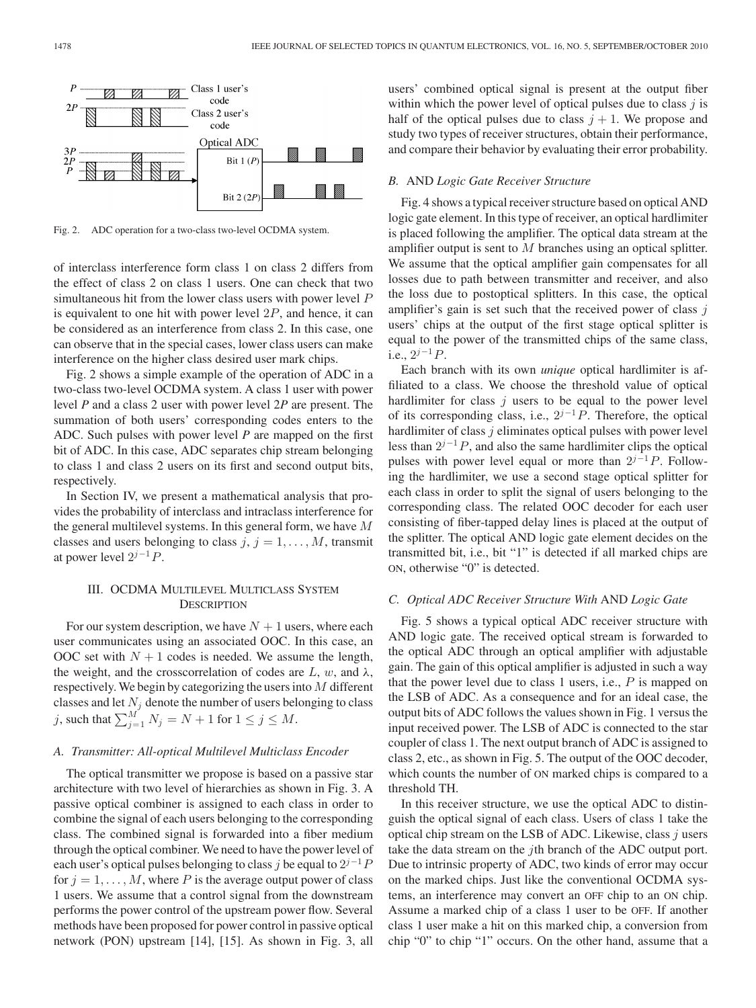

Fig. 2. ADC operation for a two-class two-level OCDMA system.

of interclass interference form class 1 on class 2 differs from the effect of class 2 on class 1 users. One can check that two simultaneous hit from the lower class users with power level P is equivalent to one hit with power level  $2P$ , and hence, it can be considered as an interference from class 2. In this case, one can observe that in the special cases, lower class users can make interference on the higher class desired user mark chips.

Fig. 2 shows a simple example of the operation of ADC in a two-class two-level OCDMA system. A class 1 user with power level *P* and a class 2 user with power level 2*P* are present. The summation of both users' corresponding codes enters to the ADC. Such pulses with power level *P* are mapped on the first bit of ADC. In this case, ADC separates chip stream belonging to class 1 and class 2 users on its first and second output bits, respectively.

In Section IV, we present a mathematical analysis that provides the probability of interclass and intraclass interference for the general multilevel systems. In this general form, we have M classes and users belonging to class  $j, j = 1, \ldots, M$ , transmit at power level  $2^{j-1}P$ .

# III. OCDMA MULTILEVEL MULTICLASS SYSTEM **DESCRIPTION**

For our system description, we have  $N + 1$  users, where each user communicates using an associated OOC. In this case, an OOC set with  $N + 1$  codes is needed. We assume the length, the weight, and the crosscorrelation of codes are  $L, w$ , and  $\lambda$ , respectively. We begin by categorizing the users into  $M$  different classes and let  $N_j$  denote the number of users belonging to class j, such that  $\sum_{j=1}^{M} N_j = N + 1$  for  $1 \le j \le M$ .

## *A. Transmitter: All-optical Multilevel Multiclass Encoder*

The optical transmitter we propose is based on a passive star architecture with two level of hierarchies as shown in Fig. 3. A passive optical combiner is assigned to each class in order to combine the signal of each users belonging to the corresponding class. The combined signal is forwarded into a fiber medium through the optical combiner. We need to have the power level of each user's optical pulses belonging to class j be equal to  $2^{j-1}P$ for  $j = 1, \ldots, M$ , where P is the average output power of class 1 users. We assume that a control signal from the downstream performs the power control of the upstream power flow. Several methods have been proposed for power control in passive optical network (PON) upstream [14], [15]. As shown in Fig. 3, all

users' combined optical signal is present at the output fiber within which the power level of optical pulses due to class  $j$  is half of the optical pulses due to class  $j + 1$ . We propose and study two types of receiver structures, obtain their performance, and compare their behavior by evaluating their error probability.

## *B.* AND *Logic Gate Receiver Structure*

Fig. 4 shows a typical receiver structure based on optical AND logic gate element. In this type of receiver, an optical hardlimiter is placed following the amplifier. The optical data stream at the amplifier output is sent to M branches using an optical splitter. We assume that the optical amplifier gain compensates for all losses due to path between transmitter and receiver, and also the loss due to postoptical splitters. In this case, the optical amplifier's gain is set such that the received power of class  $j$ users' chips at the output of the first stage optical splitter is equal to the power of the transmitted chips of the same class, i.e.,  $2^{j-1}P$ .

Each branch with its own *unique* optical hardlimiter is affiliated to a class. We choose the threshold value of optical hardlimiter for class  $j$  users to be equal to the power level of its corresponding class, i.e.,  $2^{j-1}P$ . Therefore, the optical hardlimiter of class  $j$  eliminates optical pulses with power level less than  $2^{j-1}P$ , and also the same hardlimiter clips the optical pulses with power level equal or more than  $2^{j-1}P$ . Following the hardlimiter, we use a second stage optical splitter for each class in order to split the signal of users belonging to the corresponding class. The related OOC decoder for each user consisting of fiber-tapped delay lines is placed at the output of the splitter. The optical AND logic gate element decides on the transmitted bit, i.e., bit "1" is detected if all marked chips are ON, otherwise "0" is detected.

## *C. Optical ADC Receiver Structure With* AND *Logic Gate*

Fig. 5 shows a typical optical ADC receiver structure with AND logic gate. The received optical stream is forwarded to the optical ADC through an optical amplifier with adjustable gain. The gain of this optical amplifier is adjusted in such a way that the power level due to class 1 users, i.e.,  $P$  is mapped on the LSB of ADC. As a consequence and for an ideal case, the output bits of ADC follows the values shown in Fig. 1 versus the input received power. The LSB of ADC is connected to the star coupler of class 1. The next output branch of ADC is assigned to class 2, etc., as shown in Fig. 5. The output of the OOC decoder, which counts the number of ON marked chips is compared to a threshold TH.

In this receiver structure, we use the optical ADC to distinguish the optical signal of each class. Users of class 1 take the optical chip stream on the LSB of ADC. Likewise, class  $j$  users take the data stream on the jth branch of the ADC output port. Due to intrinsic property of ADC, two kinds of error may occur on the marked chips. Just like the conventional OCDMA systems, an interference may convert an OFF chip to an ON chip. Assume a marked chip of a class 1 user to be OFF. If another class 1 user make a hit on this marked chip, a conversion from chip "0" to chip "1" occurs. On the other hand, assume that a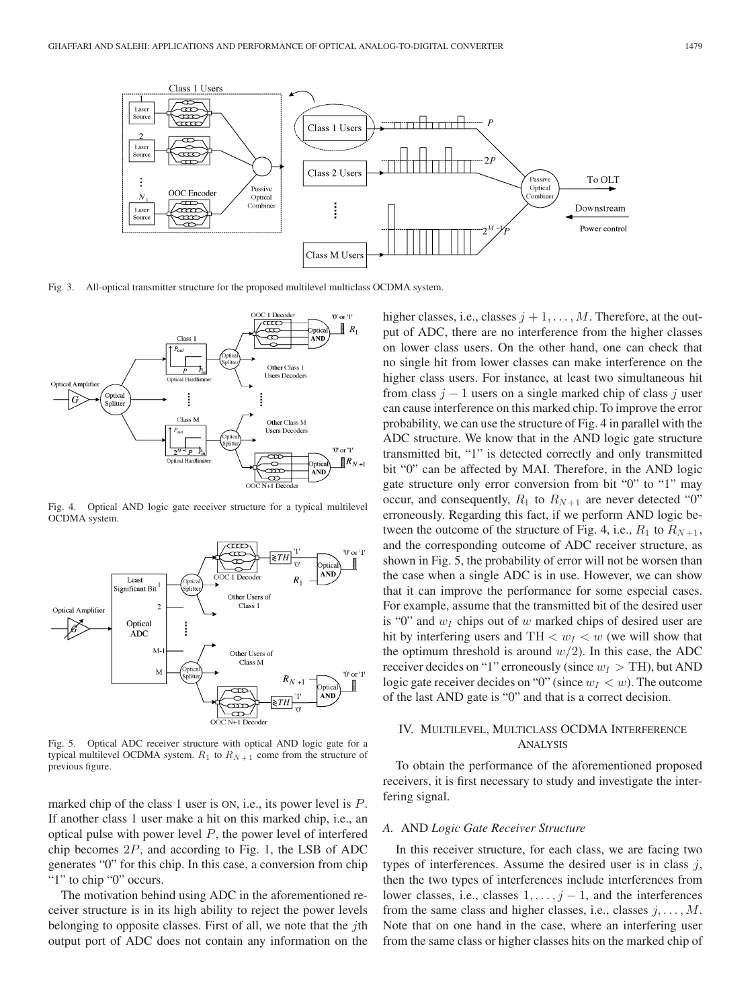

Fig. 3. All-optical transmitter structure for the proposed multilevel multiclass OCDMA system.



Fig. 4. Optical AND logic gate receiver structure for a typical multilevel OCDMA system.



Fig. 5. Optical ADC receiver structure with optical AND logic gate for a typical multilevel OCDMA system.  $R_1$  to  $R_{N+1}$  come from the structure of previous figure.

marked chip of the class 1 user is ON, i.e., its power level is P. If another class 1 user make a hit on this marked chip, i.e., an optical pulse with power level  $P$ , the power level of interfered chip becomes 2P, and according to Fig. 1, the LSB of ADC generates "0" for this chip. In this case, a conversion from chip "1" to chip "0" occurs.

The motivation behind using ADC in the aforementioned receiver structure is in its high ability to reject the power levels belonging to opposite classes. First of all, we note that the  $i$ th output port of ADC does not contain any information on the higher classes, i.e., classes  $j + 1, \ldots, M$ . Therefore, at the output of ADC, there are no interference from the higher classes on lower class users. On the other hand, one can check that no single hit from lower classes can make interference on the higher class users. For instance, at least two simultaneous hit from class  $j - 1$  users on a single marked chip of class j user can cause interference on this marked chip. To improve the error probability, we can use the structure of Fig. 4 in parallel with the ADC structure. We know that in the AND logic gate structure transmitted bit, "1" is detected correctly and only transmitted bit "0" can be affected by MAI. Therefore, in the AND logic gate structure only error conversion from bit "0" to "1" may occur, and consequently,  $R_1$  to  $R_{N+1}$  are never detected "0" erroneously. Regarding this fact, if we perform AND logic between the outcome of the structure of Fig. 4, i.e.,  $R_1$  to  $R_{N+1}$ , and the corresponding outcome of ADC receiver structure, as shown in Fig. 5, the probability of error will not be worsen than the case when a single ADC is in use. However, we can show that it can improve the performance for some especial cases. For example, assume that the transmitted bit of the desired user is "0" and  $w_I$  chips out of w marked chips of desired user are hit by interfering users and TH  $\langle w_I \rangle \langle w_I \rangle$  (we will show that the optimum threshold is around  $w/2$ ). In this case, the ADC receiver decides on "1" erroneously (since  $w_I > TH$ ), but AND logic gate receiver decides on "0" (since  $w_I < w$ ). The outcome of the last AND gate is "0" and that is a correct decision.

# IV. MULTILEVEL, MULTICLASS OCDMA INTERFERENCE ANALYSIS

To obtain the performance of the aforementioned proposed receivers, it is first necessary to study and investigate the interfering signal.

### *A.* AND *Logic Gate Receiver Structure*

In this receiver structure, for each class, we are facing two types of interferences. Assume the desired user is in class  $j$ , then the two types of interferences include interferences from lower classes, i.e., classes  $1, \ldots, j-1$ , and the interferences from the same class and higher classes, i.e., classes  $j, \ldots, M$ . Note that on one hand in the case, where an interfering user from the same class or higher classes hits on the marked chip of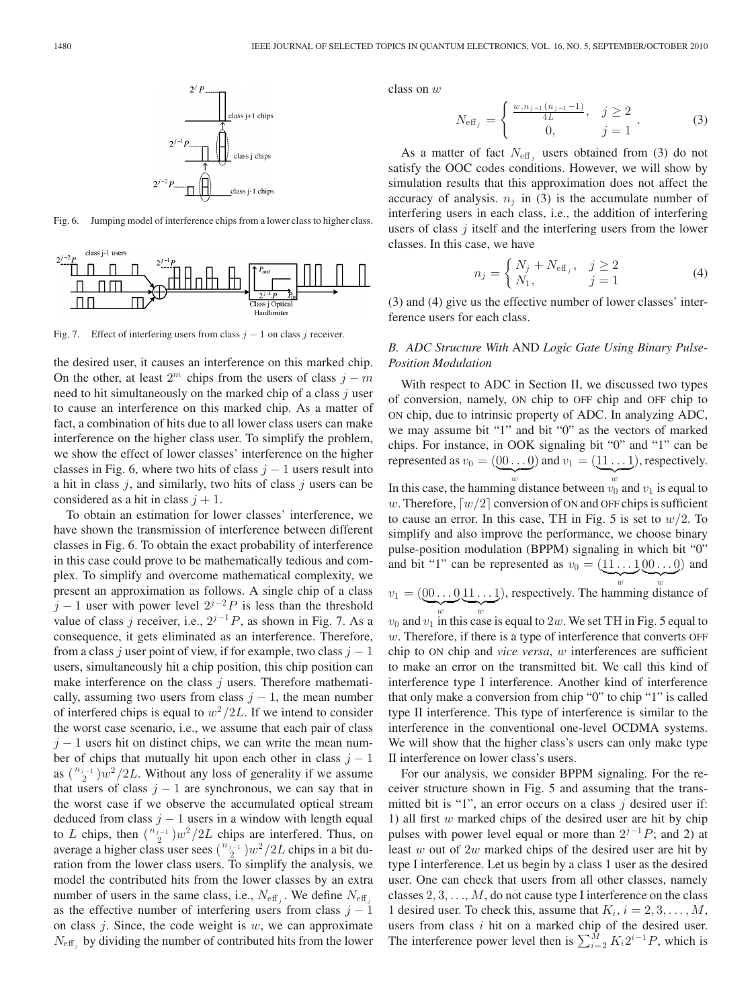

Fig. 6. Jumping model of interference chips from a lower class to higher class.



Fig. 7. Effect of interfering users from class  $j - 1$  on class j receiver.

the desired user, it causes an interference on this marked chip. On the other, at least  $2^m$  chips from the users of class  $j - m$ need to hit simultaneously on the marked chip of a class  $j$  user to cause an interference on this marked chip. As a matter of fact, a combination of hits due to all lower class users can make interference on the higher class user. To simplify the problem, we show the effect of lower classes' interference on the higher classes in Fig. 6, where two hits of class  $j - 1$  users result into a hit in class  $j$ , and similarly, two hits of class  $j$  users can be considered as a hit in class  $j + 1$ .

To obtain an estimation for lower classes' interference, we have shown the transmission of interference between different classes in Fig. 6. To obtain the exact probability of interference in this case could prove to be mathematically tedious and complex. To simplify and overcome mathematical complexity, we present an approximation as follows. A single chip of a class  $j-1$  user with power level  $2^{j-2}P$  is less than the threshold value of class j receiver, i.e.,  $2^{j-1}P$ , as shown in Fig. 7. As a consequence, it gets eliminated as an interference. Therefore, from a class j user point of view, if for example, two class  $j - 1$ users, simultaneously hit a chip position, this chip position can make interference on the class  $j$  users. Therefore mathematically, assuming two users from class  $j - 1$ , the mean number of interfered chips is equal to  $w^2/2L$ . If we intend to consider the worst case scenario, i.e., we assume that each pair of class  $j - 1$  users hit on distinct chips, we can write the mean number of chips that mutually hit upon each other in class  $j - 1$ as  $\binom{n_{j-1}}{2}w^2/2L$ . Without any loss of generality if we assume that users of class  $j - 1$  are synchronous, we can say that in the worst case if we observe the accumulated optical stream deduced from class  $j - 1$  users in a window with length equal to L chips, then  $\binom{n_{j-1}}{2}w^2/2L$  chips are interfered. Thus, on average a higher class user sees  $\binom{n_{j-1}}{2}w^2/2L$  chips in a bit duration from the lower class users. To simplify the analysis, we model the contributed hits from the lower classes by an extra number of users in the same class, i.e.,  $N_{\text{eff}_i}$ . We define  $N_{\text{eff}_i}$ as the effective number of interfering users from class  $j - 1$ on class  $j$ . Since, the code weight is  $w$ , we can approximate  $N_{\text{eff}_i}$  by dividing the number of contributed hits from the lower class on w

$$
N_{\text{eff}_j} = \begin{cases} \frac{w.n_{j-1}(n_{j-1}-1)}{4L}, & j \ge 2 \\ 0, & j = 1 \end{cases} . \tag{3}
$$

As a matter of fact  $N_{\text{eff}}$  users obtained from (3) do not satisfy the OOC codes conditions. However, we will show by simulation results that this approximation does not affect the accuracy of analysis.  $n_i$  in (3) is the accumulate number of interfering users in each class, i.e., the addition of interfering users of class  $j$  itself and the interfering users from the lower classes. In this case, we have

$$
n_j = \begin{cases} N_j + N_{\text{eff}_j}, & j \ge 2\\ N_1, & j = 1 \end{cases}
$$
 (4)

(3) and (4) give us the effective number of lower classes' interference users for each class.

# *B. ADC Structure With* AND *Logic Gate Using Binary Pulse-Position Modulation*

With respect to ADC in Section II, we discussed two types of conversion, namely, ON chip to OFF chip and OFF chip to ON chip, due to intrinsic property of ADC. In analyzing ADC, we may assume bit "1" and bit "0" as the vectors of marked chips. For instance, in OOK signaling bit "0" and "1" can be represented as  $v_0 = (00 \dots 0)$  and  $v_1 = (11 \dots 1)$ , respectively.  $\sum_{w}$  $\sum_{w}$ In this case, the hamming distance between  $v_0$  and  $v_1$  is equal to

w. Therefore,  $[w/2]$  conversion of ON and OFF chips is sufficient to cause an error. In this case, TH in Fig. 5 is set to  $w/2$ . To simplify and also improve the performance, we choose binary pulse-position modulation (BPPM) signaling in which bit "0" and bit "1" can be represented as  $v_0 = (11 \dots 100 \dots 0)$  and  $w$   $w$ 

 $v_1 = (00 \dots 0.11 \dots 1)$ , respectively. The hamming distance of  $w$   $w$  $v_0$  and  $v_1$  in this case is equal to  $2w$ . We set TH in Fig. 5 equal to

 $w$ . Therefore, if there is a type of interference that converts OFF chip to ON chip and *vice versa*, w interferences are sufficient to make an error on the transmitted bit. We call this kind of interference type I interference. Another kind of interference that only make a conversion from chip "0" to chip "1" is called type II interference. This type of interference is similar to the interference in the conventional one-level OCDMA systems. We will show that the higher class's users can only make type II interference on lower class's users.

For our analysis, we consider BPPM signaling. For the receiver structure shown in Fig. 5 and assuming that the transmitted bit is "1", an error occurs on a class  $j$  desired user if: 1) all first  $w$  marked chips of the desired user are hit by chip pulses with power level equal or more than  $2^{j-1}P$ ; and 2) at least w out of  $2w$  marked chips of the desired user are hit by type I interference. Let us begin by a class 1 user as the desired user. One can check that users from all other classes, namely classes  $2, 3, \ldots, M$ , do not cause type I interference on the class 1 desired user. To check this, assume that  $K_i$ ,  $i = 2, 3, \ldots, M$ , users from class  $i$  hit on a marked chip of the desired user. The interference power level then is  $\sum_{i=2}^{M} K_i 2^{i-1} P$ , which is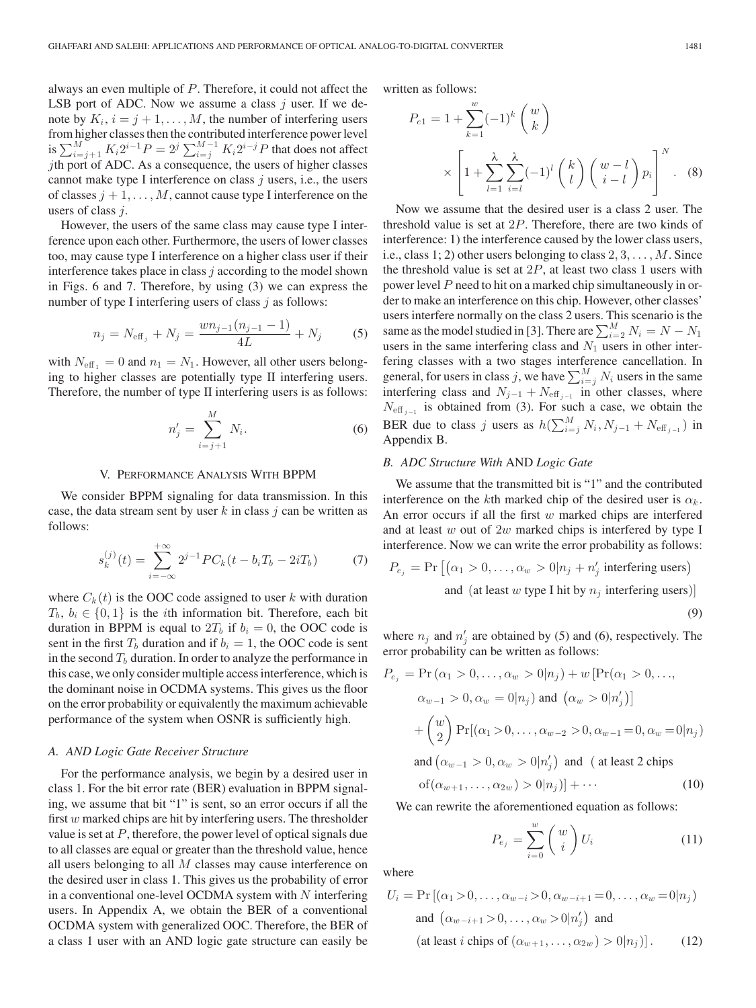always an even multiple of P. Therefore, it could not affect the LSB port of ADC. Now we assume a class  $j$  user. If we denote by  $K_i$ ,  $i = j + 1, \ldots, M$ , the number of interfering users from higher classes then the contributed interference power level is  $\sum_{i=j+1}^{M} K_i 2^{i-1} P = 2^j \sum_{i=j}^{M-1} K_i 2^{i-j} P$  that does not affect jth port of ADC. As a consequence, the users of higher classes cannot make type I interference on class  $j$  users, i.e., the users of classes  $j + 1, \ldots, M$ , cannot cause type I interference on the users of class j.

However, the users of the same class may cause type I interference upon each other. Furthermore, the users of lower classes too, may cause type I interference on a higher class user if their interference takes place in class  $j$  according to the model shown in Figs. 6 and 7. Therefore, by using (3) we can express the number of type I interfering users of class  $j$  as follows:

$$
n_j = N_{\text{eff}_j} + N_j = \frac{wn_{j-1}(n_{j-1} - 1)}{4L} + N_j \tag{5}
$$

with  $N_{\text{eff}_1} = 0$  and  $n_1 = N_1$ . However, all other users belonging to higher classes are potentially type II interfering users. Therefore, the number of type II interfering users is as follows:

$$
n'_{j} = \sum_{i=j+1}^{M} N_{i}.
$$
 (6)

## V. PERFORMANCE ANALYSIS WITH BPPM

We consider BPPM signaling for data transmission. In this case, the data stream sent by user  $k$  in class  $j$  can be written as follows:

$$
s_k^{(j)}(t) = \sum_{i=-\infty}^{+\infty} 2^{j-1} PC_k(t - b_i T_b - 2iT_b)
$$
 (7)

where  $C_k(t)$  is the OOC code assigned to user k with duration  $T_b, b_i \in \{0, 1\}$  is the *i*th information bit. Therefore, each bit duration in BPPM is equal to  $2T_b$  if  $b_i = 0$ , the OOC code is sent in the first  $T_b$  duration and if  $b_i = 1$ , the OOC code is sent in the second  $T_b$  duration. In order to analyze the performance in this case, we only consider multiple access interference, which is the dominant noise in OCDMA systems. This gives us the floor on the error probability or equivalently the maximum achievable performance of the system when OSNR is sufficiently high.

## *A. AND Logic Gate Receiver Structure*

For the performance analysis, we begin by a desired user in class 1. For the bit error rate (BER) evaluation in BPPM signaling, we assume that bit "1" is sent, so an error occurs if all the first  $w$  marked chips are hit by interfering users. The thresholder value is set at  $P$ , therefore, the power level of optical signals due to all classes are equal or greater than the threshold value, hence all users belonging to all  $M$  classes may cause interference on the desired user in class 1. This gives us the probability of error in a conventional one-level OCDMA system with  $N$  interfering users. In Appendix A, we obtain the BER of a conventional OCDMA system with generalized OOC. Therefore, the BER of a class 1 user with an AND logic gate structure can easily be written as follows:

$$
P_{e1} = 1 + \sum_{k=1}^{w} (-1)^k {w \choose k}
$$

$$
\times \left[ 1 + \sum_{l=1}^{\lambda} \sum_{i=l}^{\lambda} (-1)^l {k \choose l} {w-l \choose i-l} p_i \right]^N.
$$
 (8)

Now we assume that the desired user is a class 2 user. The threshold value is set at 2P. Therefore, there are two kinds of interference: 1) the interference caused by the lower class users, i.e., class 1; 2) other users belonging to class  $2, 3, \ldots, M$ . Since the threshold value is set at  $2P$ , at least two class 1 users with power level P need to hit on a marked chip simultaneously in order to make an interference on this chip. However, other classes' users interfere normally on the class 2 users. This scenario is the same as the model studied in [3]. There are  $\sum_{i=2}^{M} N_i = N - N_1$ users in the same interfering class and  $N_1$  users in other interfering classes with a two stages interference cancellation. In general, for users in class j, we have  $\sum_{i=j}^{M} N_i$  users in the same interfering class and  $N_{j-1} + N_{\text{eff}_{j-1}}$  in other classes, where  $N_{\text{eff}}$  is obtained from (3). For such a case, we obtain the BER due to class j users as  $h(\sum_{i=j}^{M} N_i, N_{j-1} + N_{\text{eff}_{j-1}})$  in Appendix B.

## *B. ADC Structure With* AND *Logic Gate*

We assume that the transmitted bit is "1" and the contributed interference on the kth marked chip of the desired user is  $\alpha_k$ . An error occurs if all the first  $w$  marked chips are interfered and at least  $w$  out of  $2w$  marked chips is interfered by type I interference. Now we can write the error probability as follows:

$$
P_{e_j} = \Pr\left[ (\alpha_1 > 0, \dots, \alpha_w > 0 | n_j + n'_j \text{ interfering users}) \right]
$$
\nand (at least  $w$  type I hit by  $n_j$  interfering users)

\n(9)

where  $n_j$  and  $n'_j$  are obtained by (5) and (6), respectively. The error probability can be written as follows:

$$
P_{e_j} = \Pr(\alpha_1 > 0, ..., \alpha_w > 0 | n_j) + w [\Pr(\alpha_1 > 0, ..., \alpha_{w-1} > 0, \alpha_w = 0 | n_j) \text{ and } (\alpha_w > 0 | n'_j)]
$$

$$
+ \binom{w}{2} \Pr[(\alpha_1 > 0, ..., \alpha_{w-2} > 0, \alpha_{w-1} = 0, \alpha_w = 0 | n_j)
$$
and  $(\alpha_{w-1} > 0, \alpha_w > 0 | n'_j)$  and (at least 2 chips  
of  $(\alpha_{w+1}, ..., \alpha_{2w}) > 0 | n_j)] + \cdots$  (10)

We can rewrite the aforementioned equation as follows:

$$
P_{e_j} = \sum_{i=0}^{w} \binom{w}{i} U_i \tag{11}
$$

where

$$
U_i = \Pr\left[ (\alpha_1 > 0, \dots, \alpha_{w-i} > 0, \alpha_{w-i+1} = 0, \dots, \alpha_w = 0 | n_j) \right]
$$
\nand 
$$
(\alpha_{w-i+1} > 0, \dots, \alpha_w > 0 | n'_j) \text{ and}
$$
\n(at least *i* chips of 
$$
(\alpha_{w+1}, \dots, \alpha_{2w}) > 0 | n_j)]. \tag{12}
$$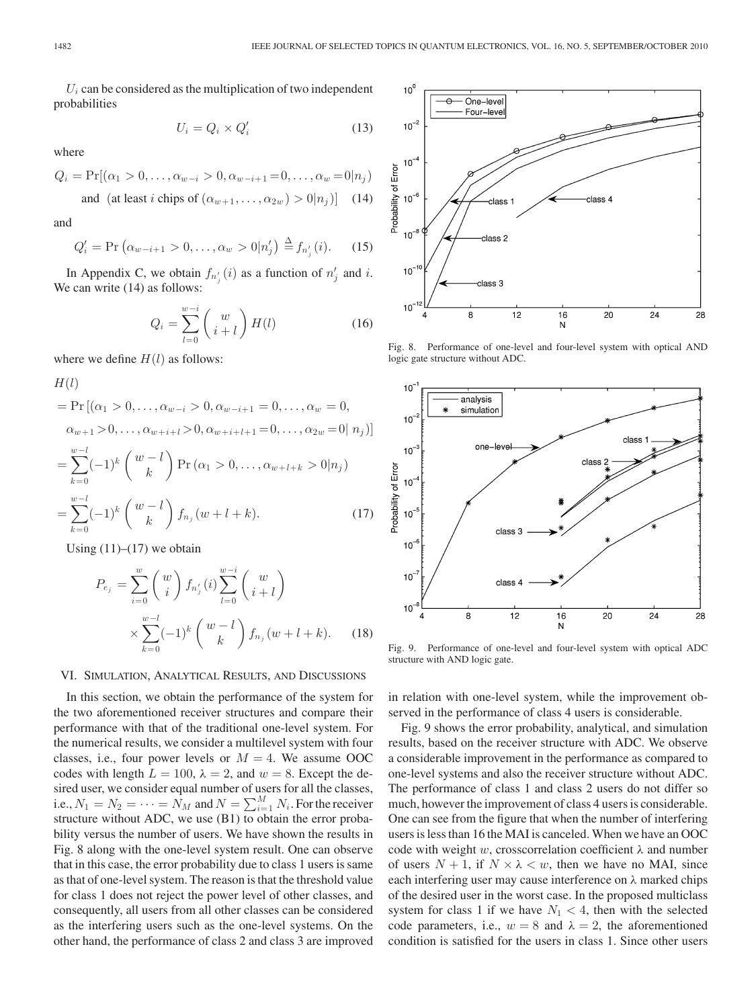$U_i$  can be considered as the multiplication of two independent probabilities

$$
U_i = Q_i \times Q'_i \tag{13}
$$

where

$$
Q_i = \Pr[(\alpha_1 > 0, \dots, \alpha_{w-i} > 0, \alpha_{w-i+1} = 0, \dots, \alpha_w = 0 | n_j)
$$

and (at least *i* chips of 
$$
(\alpha_{w+1}, \dots, \alpha_{2w}) > 0 | n_j)
$$
] (14)

and

$$
Q'_{i} = \Pr\left(\alpha_{w-i+1} > 0, \dots, \alpha_{w} > 0 | n'_{j}\right) \stackrel{\Delta}{=} f_{n'_{j}}(i). \tag{15}
$$

In Appendix C, we obtain  $f_{n'_j}(i)$  as a function of  $n'_j$  and i. We can write  $(14)$  as follows:

$$
Q_i = \sum_{l=0}^{w-i} \binom{w}{i+l} H(l) \tag{16}
$$

where we define  $H(l)$  as follows:

$$
H(l)
$$
  
= Pr [( $\alpha_1 > 0$ ,...,  $\alpha_{w-i} > 0$ ,  $\alpha_{w-i+1} = 0$ ,...,  $\alpha_w = 0$ ,  
 $\alpha_{w+1} > 0$ ,...,  $\alpha_{w+i+l} > 0$ ,  $\alpha_{w+i+l+1} = 0$ ,...,  $\alpha_{2w} = 0$  |  $n_j$ )]  
= 
$$
\sum_{k=0}^{w-l} (-1)^k \binom{w-l}{k} Pr(\alpha_1 > 0, ..., \alpha_{w+l+k} > 0 | n_j)
$$
  
= 
$$
\sum_{k=0}^{w-l} (-1)^k \binom{w-l}{k} f_{n_j}(w+l+k).
$$
 (17)

Using  $(11)$ – $(17)$  we obtain

$$
P_{e_j} = \sum_{i=0}^{w} {w \choose i} f_{n'_j}(i) \sum_{l=0}^{w-i} {w \choose i+l}
$$
  
 
$$
\times \sum_{k=0}^{w-l} (-1)^k {w-l \choose k} f_{n_j}(w+l+k). \tag{18}
$$

## VI. SIMULATION, ANALYTICAL RESULTS, AND DISCUSSIONS

In this section, we obtain the performance of the system for the two aforementioned receiver structures and compare their performance with that of the traditional one-level system. For the numerical results, we consider a multilevel system with four classes, i.e., four power levels or  $M = 4$ . We assume OOC codes with length  $L = 100$ ,  $\lambda = 2$ , and  $w = 8$ . Except the desired user, we consider equal number of users for all the classes, i.e.,  $N_1 = N_2 = \cdots = \tilde{N}_M$  and  $N = \sum_{i=1}^M N_i$ . For the receiver structure without ADC, we use  $(B1)$  to obtain the error probability versus the number of users. We have shown the results in Fig. 8 along with the one-level system result. One can observe that in this case, the error probability due to class 1 users is same as that of one-level system. The reason is that the threshold value for class 1 does not reject the power level of other classes, and consequently, all users from all other classes can be considered as the interfering users such as the one-level systems. On the other hand, the performance of class 2 and class 3 are improved



Fig. 8. Performance of one-level and four-level system with optical AND logic gate structure without ADC.



Fig. 9. Performance of one-level and four-level system with optical ADC structure with AND logic gate.

in relation with one-level system, while the improvement observed in the performance of class 4 users is considerable.

Fig. 9 shows the error probability, analytical, and simulation results, based on the receiver structure with ADC. We observe a considerable improvement in the performance as compared to one-level systems and also the receiver structure without ADC. The performance of class 1 and class 2 users do not differ so much, however the improvement of class 4 users is considerable. One can see from the figure that when the number of interfering users is less than 16 the MAI is canceled. When we have an OOC code with weight w, crosscorrelation coefficient  $\lambda$  and number of users  $N + 1$ , if  $N \times \lambda < w$ , then we have no MAI, since each interfering user may cause interference on  $\lambda$  marked chips of the desired user in the worst case. In the proposed multiclass system for class 1 if we have  $N_1 < 4$ , then with the selected code parameters, i.e.,  $w = 8$  and  $\lambda = 2$ , the aforementioned condition is satisfied for the users in class 1. Since other users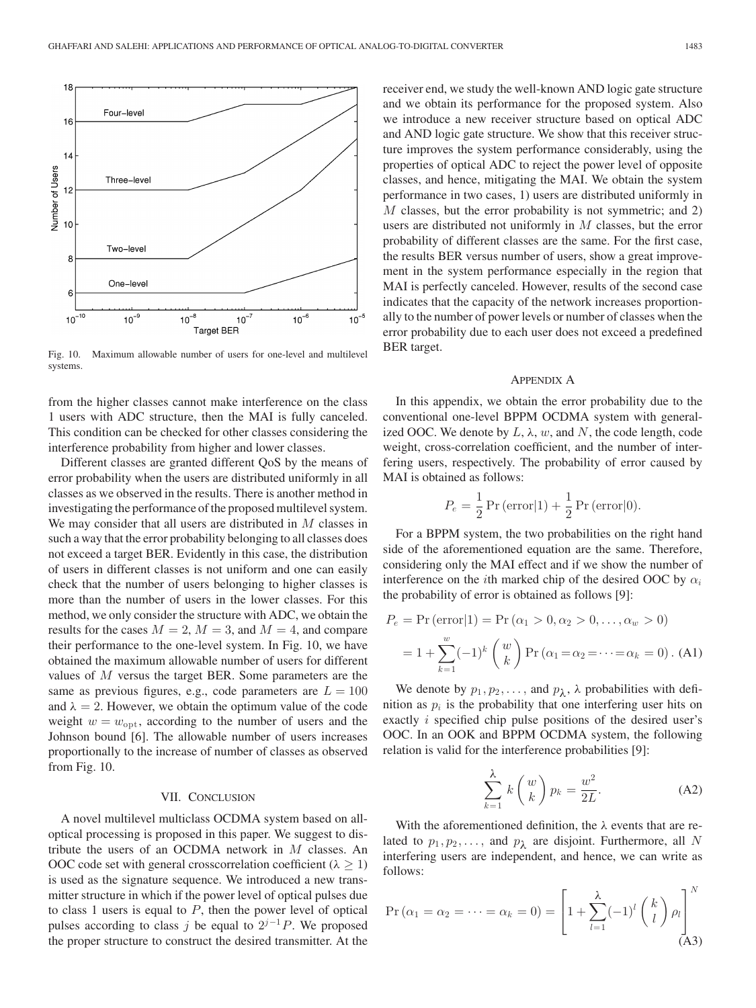

Fig. 10. Maximum allowable number of users for one-level and multilevel systems.

from the higher classes cannot make interference on the class 1 users with ADC structure, then the MAI is fully canceled. This condition can be checked for other classes considering the interference probability from higher and lower classes.

Different classes are granted different QoS by the means of error probability when the users are distributed uniformly in all classes as we observed in the results. There is another method in investigating the performance of the proposed multilevel system. We may consider that all users are distributed in M classes in such a way that the error probability belonging to all classes does not exceed a target BER. Evidently in this case, the distribution of users in different classes is not uniform and one can easily check that the number of users belonging to higher classes is more than the number of users in the lower classes. For this method, we only consider the structure with ADC, we obtain the results for the cases  $M = 2$ ,  $M = 3$ , and  $M = 4$ , and compare their performance to the one-level system. In Fig. 10, we have obtained the maximum allowable number of users for different values of M versus the target BER. Some parameters are the same as previous figures, e.g., code parameters are  $L = 100$ and  $\lambda = 2$ . However, we obtain the optimum value of the code weight  $w = w_{\text{opt}}$ , according to the number of users and the Johnson bound [6]. The allowable number of users increases proportionally to the increase of number of classes as observed from Fig. 10.

# VII. CONCLUSION

A novel multilevel multiclass OCDMA system based on alloptical processing is proposed in this paper. We suggest to distribute the users of an OCDMA network in M classes. An OOC code set with general crosscorrelation coefficient ( $\lambda \geq 1$ ) is used as the signature sequence. We introduced a new transmitter structure in which if the power level of optical pulses due to class 1 users is equal to  $P$ , then the power level of optical pulses according to class j be equal to  $2^{j-1}P$ . We proposed the proper structure to construct the desired transmitter. At the receiver end, we study the well-known AND logic gate structure and we obtain its performance for the proposed system. Also we introduce a new receiver structure based on optical ADC and AND logic gate structure. We show that this receiver structure improves the system performance considerably, using the properties of optical ADC to reject the power level of opposite classes, and hence, mitigating the MAI. We obtain the system performance in two cases, 1) users are distributed uniformly in M classes, but the error probability is not symmetric; and 2) users are distributed not uniformly in  $M$  classes, but the error probability of different classes are the same. For the first case, the results BER versus number of users, show a great improvement in the system performance especially in the region that MAI is perfectly canceled. However, results of the second case indicates that the capacity of the network increases proportionally to the number of power levels or number of classes when the error probability due to each user does not exceed a predefined BER target.

## APPENDIX A

In this appendix, we obtain the error probability due to the conventional one-level BPPM OCDMA system with generalized OOC. We denote by  $L, \lambda, w$ , and N, the code length, code weight, cross-correlation coefficient, and the number of interfering users, respectively. The probability of error caused by MAI is obtained as follows:

$$
P_e = \frac{1}{2} \Pr\left(\text{error}|1\right) + \frac{1}{2} \Pr\left(\text{error}|0\right).
$$

For a BPPM system, the two probabilities on the right hand side of the aforementioned equation are the same. Therefore, considering only the MAI effect and if we show the number of interference on the *i*th marked chip of the desired OOC by  $\alpha_i$ the probability of error is obtained as follows [9]:

$$
P_e = \Pr(\text{error}|1) = \Pr(\alpha_1 > 0, \alpha_2 > 0, \dots, \alpha_w > 0)
$$
\n
$$
= 1 + \sum_{k=1}^w (-1)^k \binom{w}{k} \Pr(\alpha_1 = \alpha_2 = \dots = \alpha_k = 0). \text{ (A1)}
$$

We denote by  $p_1, p_2, \ldots$ , and  $p_\lambda$ ,  $\lambda$  probabilities with definition as  $p_i$  is the probability that one interfering user hits on exactly i specified chip pulse positions of the desired user's OOC. In an OOK and BPPM OCDMA system, the following relation is valid for the interference probabilities [9]:

$$
\sum_{k=1}^{\lambda} k \begin{pmatrix} w \\ k \end{pmatrix} p_k = \frac{w^2}{2L}.
$$
 (A2)

With the aforementioned definition, the  $\lambda$  events that are related to  $p_1, p_2, \ldots$ , and  $p_\lambda$  are disjoint. Furthermore, all N interfering users are independent, and hence, we can write as follows:

$$
\Pr\left(\alpha_{1}=\alpha_{2}=\cdots=\alpha_{k}=0\right)=\left[1+\sum_{l=1}^{\lambda}(-1)^{l}\binom{k}{l}\rho_{l}\right]^{N}
$$
\n(A3)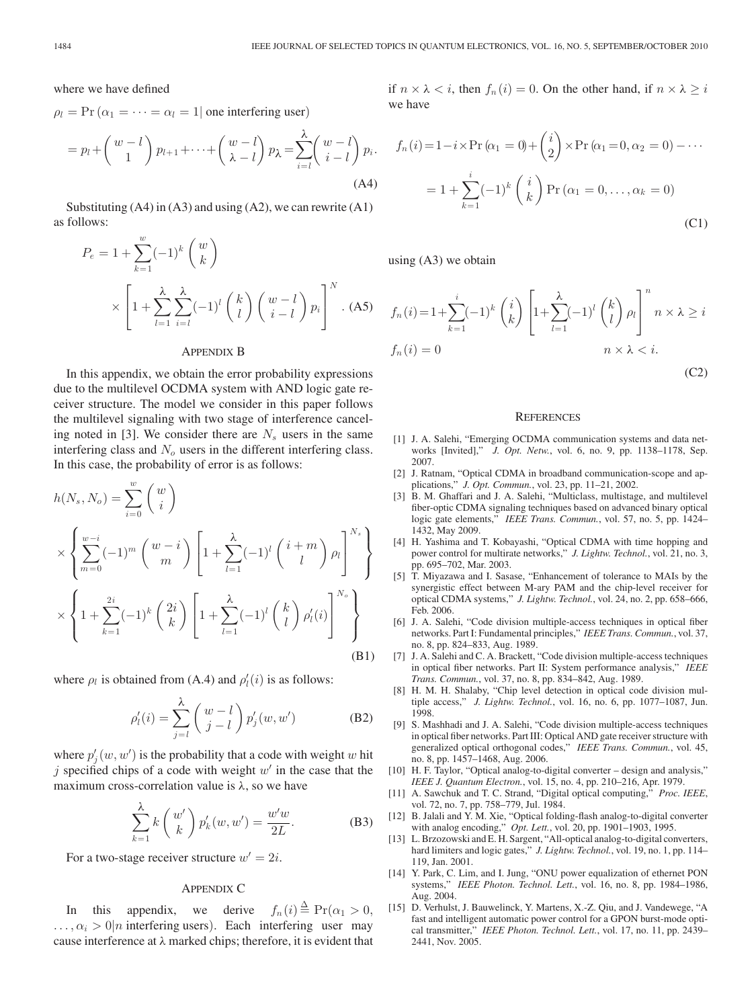where we have defined

 $\rho_l$  = Pr ( $\alpha_1$  = ··· =  $\alpha_l$  = 1| one interfering user)

$$
= p_l + \begin{pmatrix} w - l \\ 1 \end{pmatrix} p_{l+1} + \dots + \begin{pmatrix} w - l \\ \lambda - l \end{pmatrix} p_{\lambda} = \sum_{i=l}^{\lambda} \begin{pmatrix} w - l \\ i - l \end{pmatrix} p_i.
$$
\n(A4)

Substituting  $(A4)$  in  $(A3)$  and using  $(A2)$ , we can rewrite  $(A1)$ as follows:

$$
P_e = 1 + \sum_{k=1}^{w} (-1)^k \binom{w}{k}
$$

$$
\times \left[ 1 + \sum_{l=1}^{\lambda} \sum_{i=l}^{\lambda} (-1)^l \binom{k}{l} \binom{w-l}{i-l} p_i \right]^N .
$$
 (A5)

#### APPENDIX B

In this appendix, we obtain the error probability expressions due to the multilevel OCDMA system with AND logic gate receiver structure. The model we consider in this paper follows the multilevel signaling with two stage of interference canceling noted in [3]. We consider there are  $N<sub>s</sub>$  users in the same interfering class and  $N<sub>o</sub>$  users in the different interfering class. In this case, the probability of error is as follows:

$$
h(N_s, N_o) = \sum_{i=0}^{w} {w \choose i}
$$
  
\n
$$
\times \left\{ \sum_{m=0}^{w-i} (-1)^m {w-i \choose m} \left[ 1 + \sum_{l=1}^{\lambda} (-1)^l {i+m \choose l} \rho_l \right]^{N_s} \right\}
$$
  
\n
$$
\times \left\{ 1 + \sum_{k=1}^{2i} (-1)^k {2i \choose k} \left[ 1 + \sum_{l=1}^{\lambda} (-1)^l {k \choose l} \rho'_l(i) \right]^{N_o} \right\}
$$
(B1)

where  $\rho_l$  is obtained from (A.4) and  $\rho'_l(i)$  is as follows:

$$
\rho'_l(i) = \sum_{j=l}^{\lambda} \begin{pmatrix} w - l \\ j - l \end{pmatrix} p'_j(w, w')
$$
 (B2)

where  $p'_{j}(w, w')$  is the probability that a code with weight w hit j specified chips of a code with weight  $w'$  in the case that the maximum cross-correlation value is  $\lambda$ , so we have

$$
\sum_{k=1}^{\lambda} k \begin{pmatrix} w' \\ k \end{pmatrix} p'_k(w, w') = \frac{w'w}{2L}.
$$
 (B3)

For a two-stage receiver structure  $w' = 2i$ .

## APPENDIX C

In this appendix, we derive  $f_n(i) \stackrel{\Delta}{=} \Pr(\alpha_1 > 0,$  $\ldots, \alpha_i > 0$ |*n* interfering users). Each interfering user may cause interference at  $\lambda$  marked chips; therefore, it is evident that if  $n \times \lambda < i$ , then  $f_n(i)=0$ . On the other hand, if  $n \times \lambda \geq i$ we have

$$
f_n(i) = 1 - i \times \Pr(\alpha_1 = 0) + {i \choose 2} \times \Pr(\alpha_1 = 0, \alpha_2 = 0) - \cdots
$$

$$
= 1 + \sum_{k=1}^{i} (-1)^k {i \choose k} \Pr(\alpha_1 = 0, \dots, \alpha_k = 0)
$$
(C1)

using (A3) we obtain

$$
f_n(i) = 1 + \sum_{k=1}^i (-1)^k {i \choose k} \left[ 1 + \sum_{l=1}^\lambda (-1)^l {k \choose l} \rho_l \right]^n n \times \lambda \ge i
$$
  

$$
f_n(i) = 0 \qquad n \times \lambda < i.
$$
 (C2)

**REFERENCES** 

- [1] J. A. Salehi, "Emerging OCDMA communication systems and data networks [Invited]," *J. Opt. Netw.*, vol. 6, no. 9, pp. 1138–1178, Sep. 2007.
- [2] J. Ratnam, "Optical CDMA in broadband communication-scope and applications," *J. Opt. Commun.*, vol. 23, pp. 11–21, 2002.
- [3] B. M. Ghaffari and J. A. Salehi, "Multiclass, multistage, and multilevel fiber-optic CDMA signaling techniques based on advanced binary optical logic gate elements," *IEEE Trans. Commun.*, vol. 57, no. 5, pp. 1424– 1432, May 2009.
- [4] H. Yashima and T. Kobayashi, "Optical CDMA with time hopping and power control for multirate networks," *J. Lightw. Technol.*, vol. 21, no. 3, pp. 695–702, Mar. 2003.
- [5] T. Miyazawa and I. Sasase, "Enhancement of tolerance to MAIs by the synergistic effect between M-ary PAM and the chip-level receiver for optical CDMA systems," *J. Lightw. Technol.*, vol. 24, no. 2, pp. 658–666, Feb. 2006.
- [6] J. A. Salehi, "Code division multiple-access techniques in optical fiber networks. Part I: Fundamental principles," *IEEE Trans. Commun.*, vol. 37, no. 8, pp. 824–833, Aug. 1989.
- [7] J. A. Salehi and C. A. Brackett, "Code division multiple-access techniques in optical fiber networks. Part II: System performance analysis," *IEEE Trans. Commun.*, vol. 37, no. 8, pp. 834–842, Aug. 1989.
- [8] H. M. H. Shalaby, "Chip level detection in optical code division multiple access," *J. Lightw. Technol.*, vol. 16, no. 6, pp. 1077–1087, Jun. 1998.
- [9] S. Mashhadi and J. A. Salehi, "Code division multiple-access techniques in optical fiber networks. Part III: Optical AND gate receiver structure with generalized optical orthogonal codes," *IEEE Trans. Commun.*, vol. 45, no. 8, pp. 1457–1468, Aug. 2006.
- [10] H. F. Taylor, "Optical analog-to-digital converter design and analysis," *IEEE J. Quantum Electron.*, vol. 15, no. 4, pp. 210–216, Apr. 1979.
- [11] A. Sawchuk and T. C. Strand, "Digital optical computing," *Proc. IEEE*, vol. 72, no. 7, pp. 758–779, Jul. 1984.
- [12] B. Jalali and Y. M. Xie, "Optical folding-flash analog-to-digital converter with analog encoding," *Opt. Lett.*, vol. 20, pp. 1901–1903, 1995.
- [13] L. Brzozowski and E. H. Sargent, "All-optical analog-to-digital converters, hard limiters and logic gates," *J. Lightw. Technol.*, vol. 19, no. 1, pp. 114– 119, Jan. 2001.
- [14] Y. Park, C. Lim, and I. Jung, "ONU power equalization of ethernet PON systems," *IEEE Photon. Technol. Lett.*, vol. 16, no. 8, pp. 1984–1986, Aug. 2004.
- [15] D. Verhulst, J. Bauwelinck, Y. Martens, X.-Z. Qiu, and J. Vandewege, "A fast and intelligent automatic power control for a GPON burst-mode optical transmitter," *IEEE Photon. Technol. Lett.*, vol. 17, no. 11, pp. 2439– 2441, Nov. 2005.